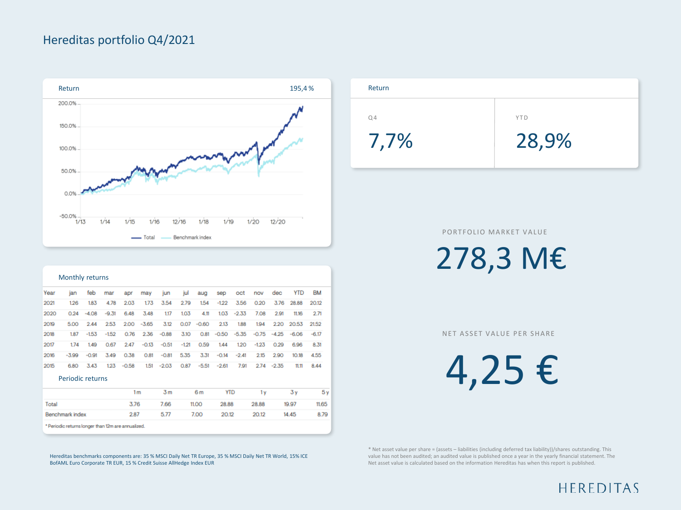## Hereditas portfolio Q4/2021



| Monthly returns  |         |         |         |         |               |         |         |         |         |         |         |         |            |           |
|------------------|---------|---------|---------|---------|---------------|---------|---------|---------|---------|---------|---------|---------|------------|-----------|
| Year             | ian     | feb     | mar     | apr     | may           | jun     | jul     | aug     | sep     | oct     | nov     | dec     | <b>YTD</b> | <b>BM</b> |
| 2021             | 1.26    | 1.83    | 4.78    | 2.03    | 1.73          | 3.54    | 2.79    | 1.54    | $-1.22$ | 3.56    | 0.20    | 3.76    | 28.88      | 20.12     |
| 2020             | 0.24    | $-4.08$ | $-9.31$ | 6.48    | 3.48          | 1.17    | 1,03    | 4.11    | 1.03    | $-2.33$ | 7.08    | 2.91    | 11.16      | 2.71      |
| 2019             | 5.00    | 2.44    | 2.53    |         | $2.00 - 3.65$ | 3.12    | 0.07    | $-0.60$ | 2.13    | 1.88    | 194     | 2.20    | 20.53      | 21.52     |
| 2018             | 1.87    | $-1.53$ | $-1.52$ | 0.76    | 2.36          | $-0.88$ | 3.10    | 0.81    | $-0.50$ | $-5.35$ | $-0.75$ | $-4.25$ | $-6.06$    | $-6.17$   |
| 2017             | 1.74    | 1.49    | 0.67    | 2.47    | $-0.13$       | $-0.51$ | $-1.21$ | 0.59    | 1.44    | 1.20    | $-1.23$ | 0.29    | 6.96       | 8.31      |
| 2016             | $-3.99$ | $-0.91$ | 3.49    | 0.38    | O.B1          | $-0.81$ | 5.35    | 3.31    | $-0.14$ | $-2.41$ | 2.15    | 2.90    | 10.18      | 4.55      |
| 2015             | 6.80    | 3.43    | 1.23    | $-0.58$ | 1.51          | $-2.03$ | 0.87    | $-5.51$ | $-2.61$ | 7.91    | 2.74    | $-2.35$ | 11.11      | 8.44      |
| Periodic returns |         |         |         |         |               |         |         |         |         |         |         |         |            |           |

|                                                    | 1 m  | 3 m  | 6m    | YTD   | 1 v   | 3 v   | 5v    |
|----------------------------------------------------|------|------|-------|-------|-------|-------|-------|
| Total                                              | 3.76 | 7.66 | 11.00 | 28.88 | 28.88 | 19.97 | 11.65 |
| Benchmark index                                    | 2.87 | 577  | 7.00  | 20.12 | 20.12 | 14.45 | 8.79  |
| * Periodic returns longer than 12m are annualized. |      |      |       |       |       |       |       |

Hereditas benchmarks components are: 35 % MSCI Daily Net TR Europe, 35 % MSCI Daily Net TR World, 15% ICE BofAML Euro Corporate TR EUR, 15 % Credit Suisse AllHedge Index EUR



PORTFOLIO MARKET VALUE

278,3 M€

NET ASSET VALUE PER SHARE

4,25 €

\* Net asset value per share = (assets – liabilities (including deferred tax liability))/shares outstanding. This value has not been audited; an audited value is published once a year in the yearly financial statement. The Net asset value is calculated based on the information Hereditas has when this report is published.

HEREDITAS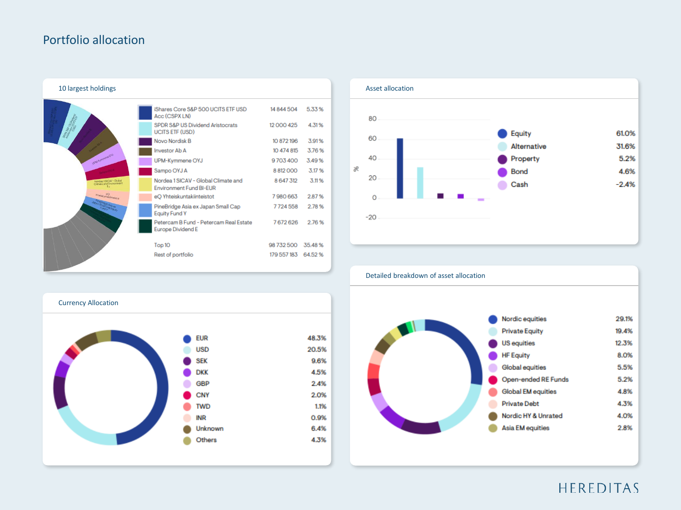### Portfolio allocation





# Detailed breakdown of asset allocation



Currency Allocation **EUR** 48.3% 20.5% **USD SEK** 9.6% **DKK** 4.5% GBP 2.4% CNY 2.0% **TWD** 1.1% 0.9% INR 6.4% Unknown Others 4.3%

# HEREDITAS